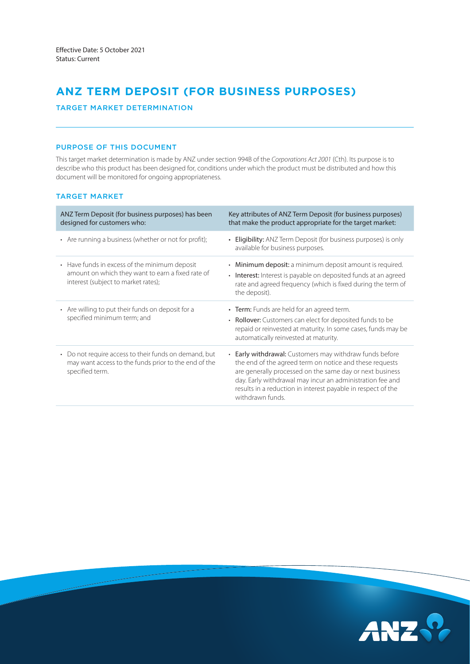# **ANZ TERM DEPOSIT (FOR BUSINESS PURPOSES)**

## TARGET MARKET DETERMINATION

## PURPOSE OF THIS DOCUMENT

This target market determination is made by ANZ under section 994B of the *Corporations Act 2001* (Cth). Its purpose is to describe who this product has been designed for, conditions under which the product must be distributed and how this document will be monitored for ongoing appropriateness.

## TARGET MARKET

| ANZ Term Deposit (for business purposes) has been<br>designed for customers who:                                                          | Key attributes of ANZ Term Deposit (for business purposes)<br>that make the product appropriate for the target market:                                                                                                                                                                                                               |
|-------------------------------------------------------------------------------------------------------------------------------------------|--------------------------------------------------------------------------------------------------------------------------------------------------------------------------------------------------------------------------------------------------------------------------------------------------------------------------------------|
| • Are running a business (whether or not for profit);                                                                                     | <b>Eligibility:</b> ANZ Term Deposit (for business purposes) is only<br>available for business purposes.                                                                                                                                                                                                                             |
| • Have funds in excess of the minimum deposit<br>amount on which they want to earn a fixed rate of<br>interest (subject to market rates); | • Minimum deposit: a minimum deposit amount is required.<br>• Interest: Interest is payable on deposited funds at an agreed<br>rate and agreed frequency (which is fixed during the term of<br>the deposit).                                                                                                                         |
| • Are willing to put their funds on deposit for a<br>specified minimum term; and                                                          | • Term: Funds are held for an agreed term.<br>• Rollover: Customers can elect for deposited funds to be<br>repaid or reinvested at maturity. In some cases, funds may be<br>automatically reinvested at maturity.                                                                                                                    |
| • Do not require access to their funds on demand, but<br>may want access to the funds prior to the end of the<br>specified term.          | <b>Early withdrawal:</b> Customers may withdraw funds before<br>the end of the agreed term on notice and these requests<br>are generally processed on the same day or next business<br>day. Early withdrawal may incur an administration fee and<br>results in a reduction in interest payable in respect of the<br>withdrawn funds. |

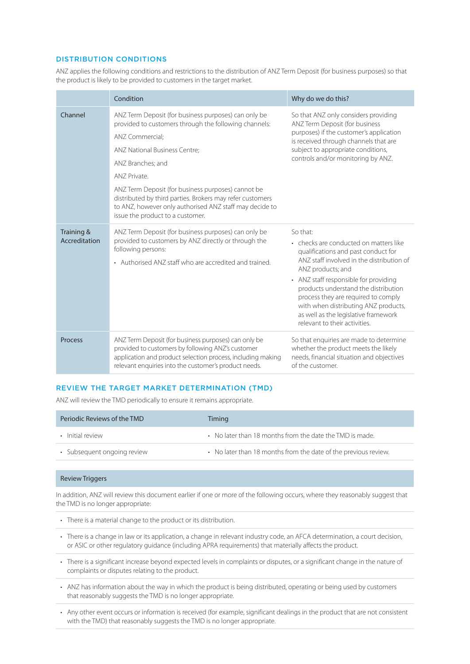#### DISTRIBUTION CONDITIONS

ANZ applies the following conditions and restrictions to the distribution of ANZ Term Deposit (for business purposes) so that the product is likely to be provided to customers in the target market.

|                             | Condition                                                                                                                                                                                                                                                                                                                                                                                                                | Why do we do this?                                                                                                                                                                                                                                                                                                                                                                                   |
|-----------------------------|--------------------------------------------------------------------------------------------------------------------------------------------------------------------------------------------------------------------------------------------------------------------------------------------------------------------------------------------------------------------------------------------------------------------------|------------------------------------------------------------------------------------------------------------------------------------------------------------------------------------------------------------------------------------------------------------------------------------------------------------------------------------------------------------------------------------------------------|
| Channel                     | ANZ Term Deposit (for business purposes) can only be<br>provided to customers through the following channels:<br>ANZ Commercial;<br>ANZ National Business Centre;<br>ANZ Branches; and<br>ANZ Private.<br>ANZ Term Deposit (for business purposes) cannot be<br>distributed by third parties. Brokers may refer customers<br>to ANZ, however only authorised ANZ staff may decide to<br>issue the product to a customer. | So that ANZ only considers providing<br>ANZ Term Deposit (for business<br>purposes) if the customer's application<br>is received through channels that are<br>subject to appropriate conditions,<br>controls and/or monitoring by ANZ.                                                                                                                                                               |
| Training &<br>Accreditation | ANZ Term Deposit (for business purposes) can only be<br>provided to customers by ANZ directly or through the<br>following persons:<br>• Authorised ANZ staff who are accredited and trained.                                                                                                                                                                                                                             | So that:<br>• checks are conducted on matters like<br>qualifications and past conduct for<br>ANZ staff involved in the distribution of<br>ANZ products; and<br>• ANZ staff responsible for providing<br>products understand the distribution<br>process they are required to comply<br>with when distributing ANZ products,<br>as well as the legislative framework<br>relevant to their activities. |
| Process                     | ANZ Term Deposit (for business purposes) can only be<br>provided to customers by following ANZ's customer<br>application and product selection process, including making<br>relevant enquiries into the customer's product needs.                                                                                                                                                                                        | So that enquiries are made to determine<br>whether the product meets the likely<br>needs, financial situation and objectives<br>of the customer.                                                                                                                                                                                                                                                     |

#### REVIEW THE TARGET MARKET DETERMINATION (TMD)

ANZ will review the TMD periodically to ensure it remains appropriate.

| Periodic Reviews of the TMD | Timing                                                          |
|-----------------------------|-----------------------------------------------------------------|
| • Initial review            | • No later than 18 months from the date the TMD is made.        |
| • Subsequent ongoing review | • No later than 18 months from the date of the previous review. |

#### Review Triggers

In addition, ANZ will review this document earlier if one or more of the following occurs, where they reasonably suggest that the TMD is no longer appropriate:

- There is a material change to the product or its distribution.
- There is a change in law or its application, a change in relevant industry code, an AFCA determination, a court decision, or ASIC or other regulatory guidance (including APRA requirements) that materially affects the product.
- There is a significant increase beyond expected levels in complaints or disputes, or a significant change in the nature of complaints or disputes relating to the product.
- ANZ has information about the way in which the product is being distributed, operating or being used by customers that reasonably suggests the TMD is no longer appropriate.
- Any other event occurs or information is received (for example, significant dealings in the product that are not consistent with the TMD) that reasonably suggests the TMD is no longer appropriate.